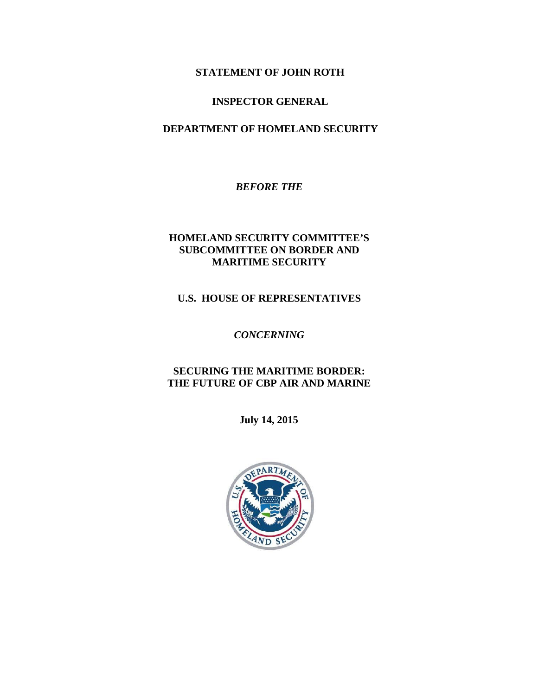### **STATEMENT OF JOHN ROTH**

### **INSPECTOR GENERAL**

### **DEPARTMENT OF HOMELAND SECURITY**

*BEFORE THE* 

### **HOMELAND SECURITY COMMITTEE'S SUBCOMMITTEE ON BORDER AND MARITIME SECURITY**

#### **U.S. HOUSE OF REPRESENTATIVES**

*CONCERNING* 

### **SECURING THE MARITIME BORDER: THE FUTURE OF CBP AIR AND MARINE**

**July 14, 2015** 

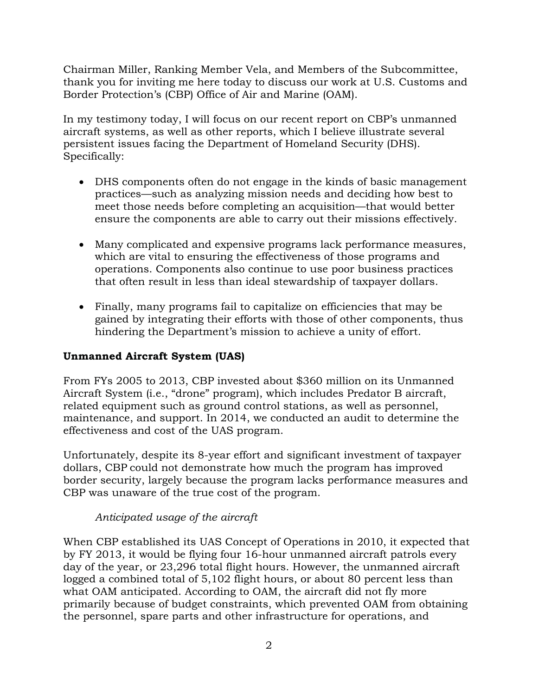Chairman Miller, Ranking Member Vela, and Members of the Subcommittee, thank you for inviting me here today to discuss our work at U.S. Customs and Border Protection's (CBP) Office of Air and Marine (OAM).

In my testimony today, I will focus on our recent report on CBP's unmanned aircraft systems, as well as other reports, which I believe illustrate several persistent issues facing the Department of Homeland Security (DHS). Specifically:

- DHS components often do not engage in the kinds of basic management practices—such as analyzing mission needs and deciding how best to meet those needs before completing an acquisition—that would better ensure the components are able to carry out their missions effectively.
- Many complicated and expensive programs lack performance measures, which are vital to ensuring the effectiveness of those programs and operations. Components also continue to use poor business practices that often result in less than ideal stewardship of taxpayer dollars.
- Finally, many programs fail to capitalize on efficiencies that may be gained by integrating their efforts with those of other components, thus hindering the Department's mission to achieve a unity of effort.

## **Unmanned Aircraft System (UAS)**

From FYs 2005 to 2013, CBP invested about \$360 million on its Unmanned Aircraft System (i.e., "drone" program), which includes Predator B aircraft, related equipment such as ground control stations, as well as personnel, maintenance, and support. In 2014, we conducted an audit to determine the effectiveness and cost of the UAS program.

Unfortunately, despite its 8-year effort and significant investment of taxpayer dollars, CBP could not demonstrate how much the program has improved border security, largely because the program lacks performance measures and CBP was unaware of the true cost of the program.

# *Anticipated usage of the aircraft*

When CBP established its UAS Concept of Operations in 2010, it expected that by FY 2013, it would be flying four 16-hour unmanned aircraft patrols every day of the year, or 23,296 total flight hours. However, the unmanned aircraft logged a combined total of 5,102 flight hours, or about 80 percent less than what OAM anticipated. According to OAM, the aircraft did not fly more primarily because of budget constraints, which prevented OAM from obtaining the personnel, spare parts and other infrastructure for operations, and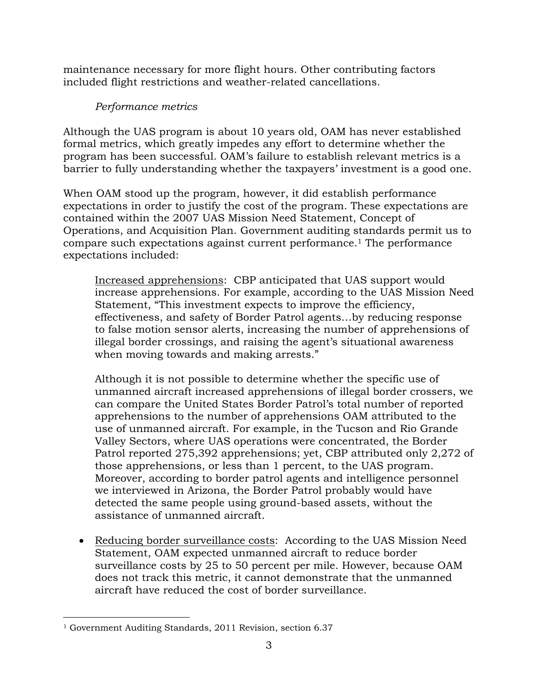maintenance necessary for more flight hours. Other contributing factors included flight restrictions and weather-related cancellations.

## *Performance metrics*

Although the UAS program is about 10 years old, OAM has never established formal metrics, which greatly impedes any effort to determine whether the program has been successful. OAM's failure to establish relevant metrics is a barrier to fully understanding whether the taxpayers' investment is a good one.

When OAM stood up the program, however, it did establish performance expectations in order to justify the cost of the program. These expectations are contained within the 2007 UAS Mission Need Statement, Concept of Operations, and Acquisition Plan. Government auditing standards permit us to compare such expectations against current performance.1 The performance expectations included:

Increased apprehensions: CBP anticipated that UAS support would increase apprehensions. For example, according to the UAS Mission Need Statement, "This investment expects to improve the efficiency, effectiveness, and safety of Border Patrol agents…by reducing response to false motion sensor alerts, increasing the number of apprehensions of illegal border crossings, and raising the agent's situational awareness when moving towards and making arrests."

Although it is not possible to determine whether the specific use of unmanned aircraft increased apprehensions of illegal border crossers, we can compare the United States Border Patrol's total number of reported apprehensions to the number of apprehensions OAM attributed to the use of unmanned aircraft. For example, in the Tucson and Rio Grande Valley Sectors, where UAS operations were concentrated, the Border Patrol reported 275,392 apprehensions; yet, CBP attributed only 2,272 of those apprehensions, or less than 1 percent, to the UAS program. Moreover, according to border patrol agents and intelligence personnel we interviewed in Arizona, the Border Patrol probably would have detected the same people using ground-based assets, without the assistance of unmanned aircraft.

• Reducing border surveillance costs: According to the UAS Mission Need Statement, OAM expected unmanned aircraft to reduce border surveillance costs by 25 to 50 percent per mile. However, because OAM does not track this metric, it cannot demonstrate that the unmanned aircraft have reduced the cost of border surveillance.

 <sup>1</sup> Government Auditing Standards, 2011 Revision, section 6.37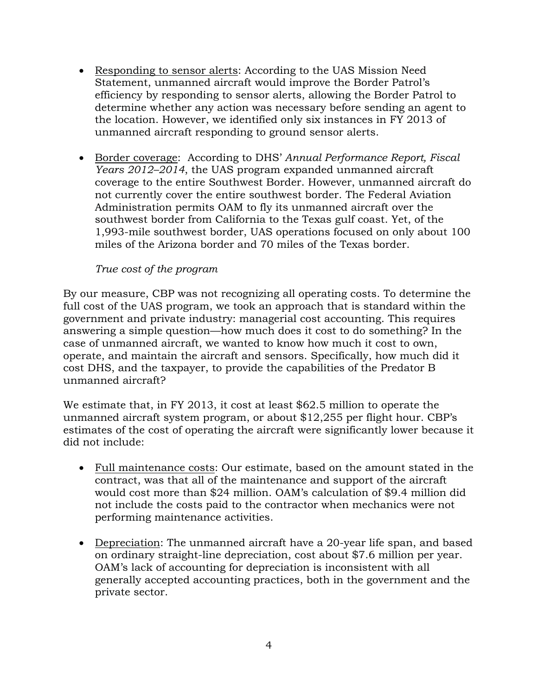- Responding to sensor alerts: According to the UAS Mission Need Statement, unmanned aircraft would improve the Border Patrol's efficiency by responding to sensor alerts, allowing the Border Patrol to determine whether any action was necessary before sending an agent to the location. However, we identified only six instances in FY 2013 of unmanned aircraft responding to ground sensor alerts.
- Border coverage: According to DHS' *Annual Performance Report, Fiscal Years 2012–2014*, the UAS program expanded unmanned aircraft coverage to the entire Southwest Border. However, unmanned aircraft do not currently cover the entire southwest border. The Federal Aviation Administration permits OAM to fly its unmanned aircraft over the southwest border from California to the Texas gulf coast. Yet, of the 1,993-mile southwest border, UAS operations focused on only about 100 miles of the Arizona border and 70 miles of the Texas border.

### *True cost of the program*

By our measure, CBP was not recognizing all operating costs. To determine the full cost of the UAS program, we took an approach that is standard within the government and private industry: managerial cost accounting. This requires answering a simple question—how much does it cost to do something? In the case of unmanned aircraft, we wanted to know how much it cost to own, operate, and maintain the aircraft and sensors. Specifically, how much did it cost DHS, and the taxpayer, to provide the capabilities of the Predator B unmanned aircraft?

We estimate that, in FY 2013, it cost at least \$62.5 million to operate the unmanned aircraft system program, or about \$12,255 per flight hour. CBP's estimates of the cost of operating the aircraft were significantly lower because it did not include:

- Full maintenance costs: Our estimate, based on the amount stated in the contract, was that all of the maintenance and support of the aircraft would cost more than \$24 million. OAM's calculation of \$9.4 million did not include the costs paid to the contractor when mechanics were not performing maintenance activities.
- Depreciation: The unmanned aircraft have a 20-year life span, and based on ordinary straight-line depreciation, cost about \$7.6 million per year. OAM's lack of accounting for depreciation is inconsistent with all generally accepted accounting practices, both in the government and the private sector.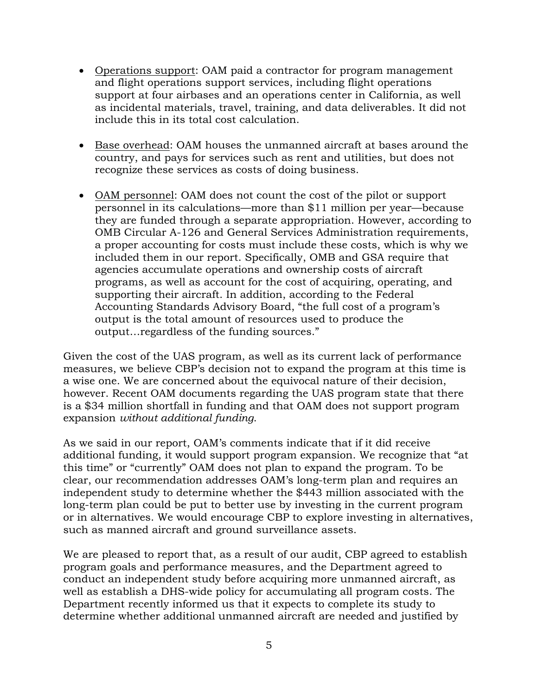- Operations support: OAM paid a contractor for program management and flight operations support services, including flight operations support at four airbases and an operations center in California, as well as incidental materials, travel, training, and data deliverables. It did not include this in its total cost calculation.
- Base overhead: OAM houses the unmanned aircraft at bases around the country, and pays for services such as rent and utilities, but does not recognize these services as costs of doing business.
- OAM personnel: OAM does not count the cost of the pilot or support personnel in its calculations—more than \$11 million per year—because they are funded through a separate appropriation. However, according to OMB Circular A-126 and General Services Administration requirements, a proper accounting for costs must include these costs, which is why we included them in our report. Specifically, OMB and GSA require that agencies accumulate operations and ownership costs of aircraft programs, as well as account for the cost of acquiring, operating, and supporting their aircraft. In addition, according to the Federal Accounting Standards Advisory Board, "the full cost of a program's output is the total amount of resources used to produce the output…regardless of the funding sources."

Given the cost of the UAS program, as well as its current lack of performance measures, we believe CBP's decision not to expand the program at this time is a wise one. We are concerned about the equivocal nature of their decision, however. Recent OAM documents regarding the UAS program state that there is a \$34 million shortfall in funding and that OAM does not support program expansion *without additional funding*.

As we said in our report, OAM's comments indicate that if it did receive additional funding, it would support program expansion. We recognize that "at this time" or "currently" OAM does not plan to expand the program. To be clear, our recommendation addresses OAM's long-term plan and requires an independent study to determine whether the \$443 million associated with the long-term plan could be put to better use by investing in the current program or in alternatives. We would encourage CBP to explore investing in alternatives, such as manned aircraft and ground surveillance assets.

We are pleased to report that, as a result of our audit, CBP agreed to establish program goals and performance measures, and the Department agreed to conduct an independent study before acquiring more unmanned aircraft, as well as establish a DHS-wide policy for accumulating all program costs. The Department recently informed us that it expects to complete its study to determine whether additional unmanned aircraft are needed and justified by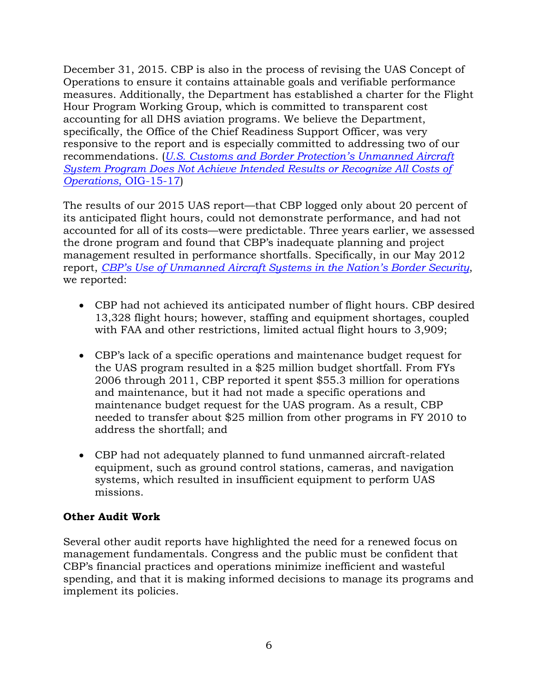December 31, 2015. CBP is also in the process of revising the UAS Concept of Operations to ensure it contains attainable goals and verifiable performance measures. Additionally, the Department has established a charter for the Flight Hour Program Working Group, which is committed to transparent cost accounting for all DHS aviation programs. We believe the Department, specifically, the Office of the Chief Readiness Support Officer, was very responsive to the report and is especially committed to addressing two of our recommendations. (*U.S. Customs and Border Protection's Unmanned Aircraft System Program Does Not Achieve Intended Results or Recognize All Costs of Operations*, OIG-15-17)

The results of our 2015 UAS report—that CBP logged only about 20 percent of its anticipated flight hours, could not demonstrate performance, and had not accounted for all of its costs—were predictable. Three years earlier, we assessed the drone program and found that CBP's inadequate planning and project management resulted in performance shortfalls. Specifically, in our May 2012 report, *CBP's Use of Unmanned Aircraft Systems in the Nation's Border Security*, we reported:

- CBP had not achieved its anticipated number of flight hours. CBP desired 13,328 flight hours; however, staffing and equipment shortages, coupled with FAA and other restrictions, limited actual flight hours to 3,909;
- CBP's lack of a specific operations and maintenance budget request for the UAS program resulted in a \$25 million budget shortfall. From FYs 2006 through 2011, CBP reported it spent \$55.3 million for operations and maintenance, but it had not made a specific operations and maintenance budget request for the UAS program. As a result, CBP needed to transfer about \$25 million from other programs in FY 2010 to address the shortfall; and
- CBP had not adequately planned to fund unmanned aircraft-related equipment, such as ground control stations, cameras, and navigation systems, which resulted in insufficient equipment to perform UAS missions.

## **Other Audit Work**

Several other audit reports have highlighted the need for a renewed focus on management fundamentals. Congress and the public must be confident that CBP's financial practices and operations minimize inefficient and wasteful spending, and that it is making informed decisions to manage its programs and implement its policies.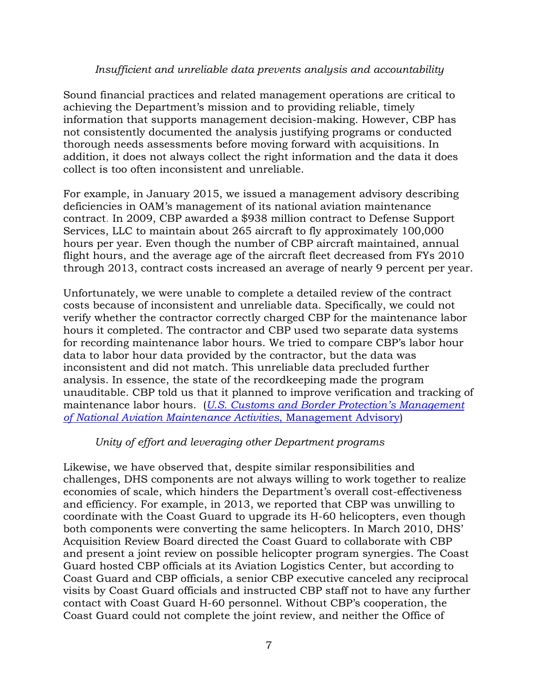### *Insufficient and unreliable data prevents analysis and accountability*

Sound financial practices and related management operations are critical to achieving the Department's mission and to providing reliable, timely information that supports management decision-making. However, CBP has not consistently documented the analysis justifying programs or conducted thorough needs assessments before moving forward with acquisitions. In addition, it does not always collect the right information and the data it does collect is too often inconsistent and unreliable.

For example, in January 2015, we issued a management advisory describing deficiencies in OAM's management of its national aviation maintenance contract. In 2009, CBP awarded a \$938 million contract to Defense Support Services, LLC to maintain about 265 aircraft to fly approximately 100,000 hours per year. Even though the number of CBP aircraft maintained, annual flight hours, and the average age of the aircraft fleet decreased from FYs 2010 through 2013, contract costs increased an average of nearly 9 percent per year.

Unfortunately, we were unable to complete a detailed review of the contract costs because of inconsistent and unreliable data. Specifically, we could not verify whether the contractor correctly charged CBP for the maintenance labor hours it completed. The contractor and CBP used two separate data systems for recording maintenance labor hours. We tried to compare CBP's labor hour data to labor hour data provided by the contractor, but the data was inconsistent and did not match. This unreliable data precluded further analysis. In essence, the state of the recordkeeping made the program unauditable. CBP told us that it planned to improve verification and tracking of maintenance labor hours. (*U.S. Customs and Border Protection's Management of National Aviation Maintenance Activities*, Management Advisory)

#### *Unity of effort and leveraging other Department programs*

Likewise, we have observed that, despite similar responsibilities and challenges, DHS components are not always willing to work together to realize economies of scale, which hinders the Department's overall cost-effectiveness and efficiency. For example, in 2013, we reported that CBP was unwilling to coordinate with the Coast Guard to upgrade its H-60 helicopters, even though both components were converting the same helicopters. In March 2010, DHS' Acquisition Review Board directed the Coast Guard to collaborate with CBP and present a joint review on possible helicopter program synergies. The Coast Guard hosted CBP officials at its Aviation Logistics Center, but according to Coast Guard and CBP officials, a senior CBP executive canceled any reciprocal visits by Coast Guard officials and instructed CBP staff not to have any further contact with Coast Guard H-60 personnel. Without CBP's cooperation, the Coast Guard could not complete the joint review, and neither the Office of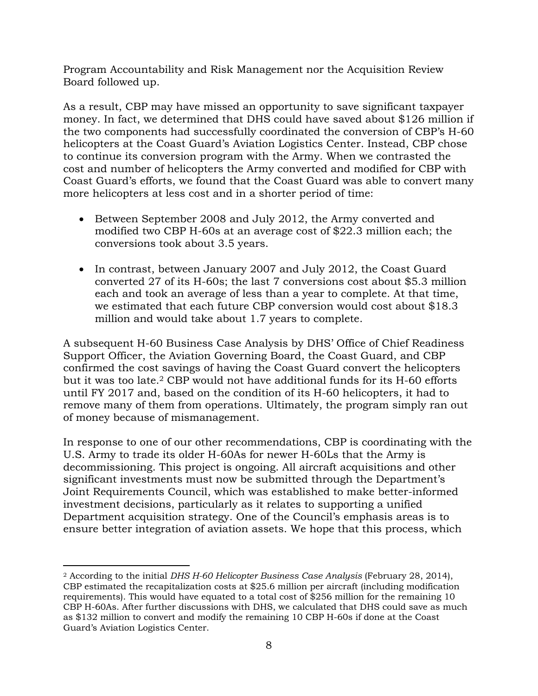Program Accountability and Risk Management nor the Acquisition Review Board followed up.

As a result, CBP may have missed an opportunity to save significant taxpayer money. In fact, we determined that DHS could have saved about \$126 million if the two components had successfully coordinated the conversion of CBP's H-60 helicopters at the Coast Guard's Aviation Logistics Center. Instead, CBP chose to continue its conversion program with the Army. When we contrasted the cost and number of helicopters the Army converted and modified for CBP with Coast Guard's efforts, we found that the Coast Guard was able to convert many more helicopters at less cost and in a shorter period of time:

- Between September 2008 and July 2012, the Army converted and modified two CBP H-60s at an average cost of \$22.3 million each; the conversions took about 3.5 years.
- In contrast, between January 2007 and July 2012, the Coast Guard converted 27 of its H-60s; the last 7 conversions cost about \$5.3 million each and took an average of less than a year to complete. At that time, we estimated that each future CBP conversion would cost about \$18.3 million and would take about 1.7 years to complete.

A subsequent H-60 Business Case Analysis by DHS' Office of Chief Readiness Support Officer, the Aviation Governing Board, the Coast Guard, and CBP confirmed the cost savings of having the Coast Guard convert the helicopters but it was too late.2 CBP would not have additional funds for its H-60 efforts until FY 2017 and, based on the condition of its H-60 helicopters, it had to remove many of them from operations. Ultimately, the program simply ran out of money because of mismanagement.

In response to one of our other recommendations, CBP is coordinating with the U.S. Army to trade its older H-60As for newer H-60Ls that the Army is decommissioning. This project is ongoing. All aircraft acquisitions and other significant investments must now be submitted through the Department's Joint Requirements Council, which was established to make better-informed investment decisions, particularly as it relates to supporting a unified Department acquisition strategy. One of the Council's emphasis areas is to ensure better integration of aviation assets. We hope that this process, which

<sup>2</sup> According to the initial *DHS H-60 Helicopter Business Case Analysis* (February 28, 2014), CBP estimated the recapitalization costs at \$25.6 million per aircraft (including modification requirements). This would have equated to a total cost of \$256 million for the remaining 10 CBP H-60As. After further discussions with DHS, we calculated that DHS could save as much as \$132 million to convert and modify the remaining 10 CBP H-60s if done at the Coast Guard's Aviation Logistics Center.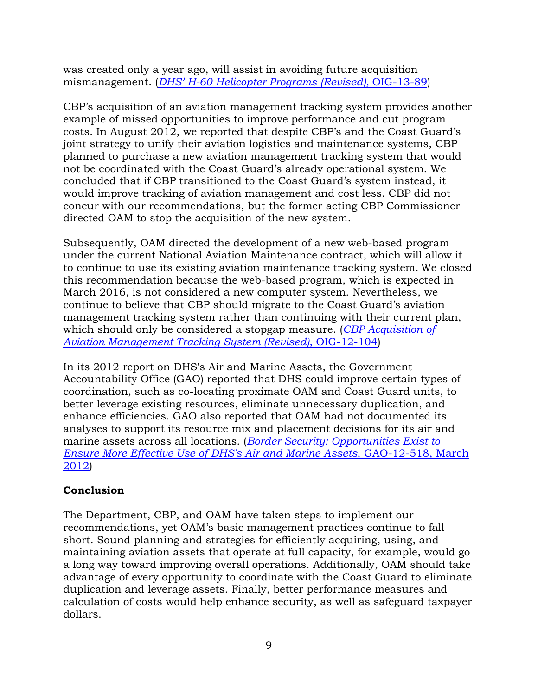was created only a year ago, will assist in avoiding future acquisition mismanagement. (*DHS' H-60 Helicopter Programs (Revised),* OIG-13-89)

CBP's acquisition of an aviation management tracking system provides another example of missed opportunities to improve performance and cut program costs. In August 2012, we reported that despite CBP's and the Coast Guard's joint strategy to unify their aviation logistics and maintenance systems, CBP planned to purchase a new aviation management tracking system that would not be coordinated with the Coast Guard's already operational system. We concluded that if CBP transitioned to the Coast Guard's system instead, it would improve tracking of aviation management and cost less. CBP did not concur with our recommendations, but the former acting CBP Commissioner directed OAM to stop the acquisition of the new system.

Subsequently, OAM directed the development of a new web-based program under the current National Aviation Maintenance contract, which will allow it to continue to use its existing aviation maintenance tracking system. We closed this recommendation because the web-based program, which is expected in March 2016, is not considered a new computer system. Nevertheless, we continue to believe that CBP should migrate to the Coast Guard's aviation management tracking system rather than continuing with their current plan, which should only be considered a stopgap measure. (*CBP Acquisition of Aviation Management Tracking System (Revised)*, OIG-12-104)

In its 2012 report on DHS's Air and Marine Assets, the Government Accountability Office (GAO) reported that DHS could improve certain types of coordination, such as co-locating proximate OAM and Coast Guard units, to better leverage existing resources, eliminate unnecessary duplication, and enhance efficiencies. GAO also reported that OAM had not documented its analyses to support its resource mix and placement decisions for its air and marine assets across all locations. (*Border Security: Opportunities Exist to Ensure More Effective Use of DHS's Air and Marine Assets*, GAO-12-518, March 2012)

# **Conclusion**

The Department, CBP, and OAM have taken steps to implement our recommendations, yet OAM's basic management practices continue to fall short. Sound planning and strategies for efficiently acquiring, using, and maintaining aviation assets that operate at full capacity, for example, would go a long way toward improving overall operations. Additionally, OAM should take advantage of every opportunity to coordinate with the Coast Guard to eliminate duplication and leverage assets. Finally, better performance measures and calculation of costs would help enhance security, as well as safeguard taxpayer dollars.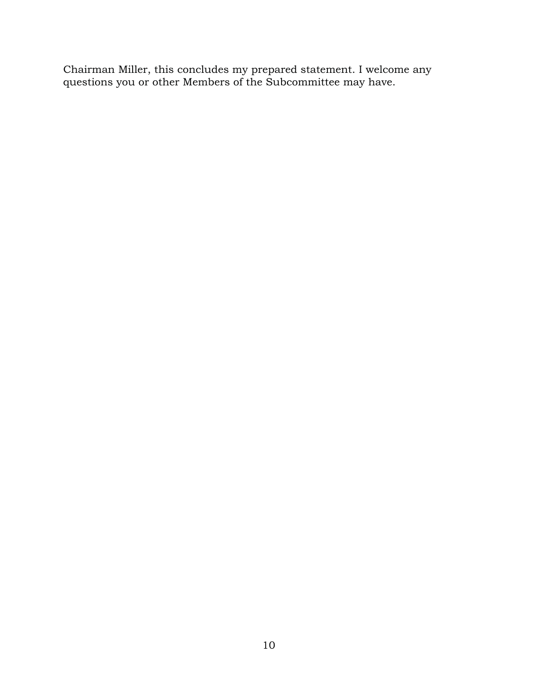Chairman Miller, this concludes my prepared statement. I welcome any questions you or other Members of the Subcommittee may have.